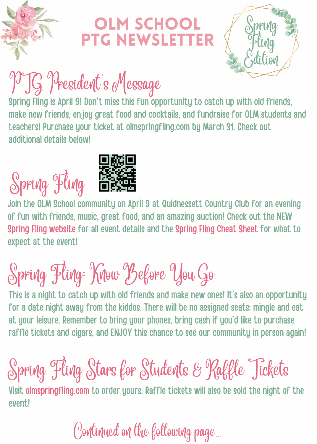

### **OLM SCHOOL** PTG NEwsletter



# PTG President's Message

Spring Fling is April 9! Don't miss this fun opportunity to catch up with old friends, make new friends, enjoy great food and cocktails, and fundraise for OLM students and teachers! Purchase your ticket at [olmspringfling.com](https://olmspringfling.com/) by March 31. Check out additional details below!

# Spring Fling



Join the OLM School community on April 9 at Quidnessett Country Club for an evening of fun with friends, music, great food, and an amazing auction! Check out the NEW Spring Fling [website](http://www.olmspringfling.com/) for all event details and the [Spring](https://olmspringfling.com/spring-fling-cheat-sheet) Fling Cheat Sheet for what to expect at the event!

# Spring Fling: Know Before You Go

This is a night to catch up with old friends and make new ones! It's also an opportunity for a date night away from the kiddos. There will be no assigned seats; mingle and eat at your leisure. Remember to bring your phones, bring cash if you'd like to purchase raffle tickets and cigars, and ENJOY this chance to see our community in person again!

## Spring Fling Stars for Students & Raffle Tickets

Visit olmspringfling.com to order yours. Raffle tickets will also be sold the night of the event!

### Continued on the following page...